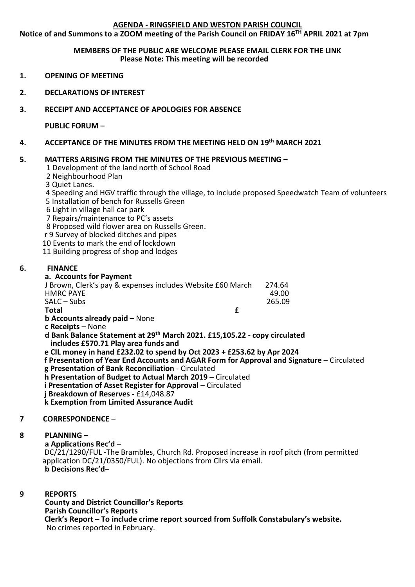# **AGENDA - RINGSFIELD AND WESTON PARISH COUNCIL**

**Notice of and Summons to a ZOOM meeting of the Parish Council on FRIDAY 16TH APRIL 2021 at 7pm**

## **MEMBERS OF THE PUBLIC ARE WELCOME PLEASE EMAIL CLERK FOR THE LINK Please Note: This meeting will be recorded**

- **1. OPENING OF MEETING**
- **2. DECLARATIONS OF INTEREST**
- **3. RECEIPT AND ACCEPTANCE OF APOLOGIES FOR ABSENCE**

**PUBLIC FORUM –**

**4. ACCEPTANCE OF THE MINUTES FROM THE MEETING HELD ON 19th MARCH 2021**

# **5. MATTERS ARISING FROM THE MINUTES OF THE PREVIOUS MEETING –**

1 Development of the land north of School Road

2 Neighbourhood Plan

3 Quiet Lanes.

4 Speeding and HGV traffic through the village, to include proposed Speedwatch Team of volunteers 5 Installation of bench for Russells Green

6 Light in village hall car park

7 Repairs/maintenance to PC's assets

8 Proposed wild flower area on Russells Green.

r 9 Survey of blocked ditches and pipes

10 Events to mark the end of lockdown

11 Building progress of shop and lodges

# **6. FINANCE**

### **a. Accounts for Payment**

| J Brown, Clerk's pay & expenses includes Website £60 March | 274.64 |
|------------------------------------------------------------|--------|
| <b>HMRC PAYE</b>                                           | 49.00  |
| $SALC - Subs$                                              | 265.09 |
| Total<br>c                                                 |        |
| <b>b Accounts already paid - None</b>                      |        |
| c Receipts - None                                          |        |
|                                                            |        |

**d Bank Balance Statement at 29th March 2021. £15,105.22 - copy circulated includes £570.71 Play area funds and**

 **e CIL money in hand £232.02 to spend by Oct 2023 + £253.62 by Apr 2024**

 **f Presentation of Year End Accounts and AGAR Form for Approval and Signature** – Circulated **g Presentation of Bank Reconciliation** - Circulated

 **h Presentation of Budget to Actual March 2019 –** Circulated

**i** Presentation of Asset Register for Approval – Circulated

 **j Breakdown of Reserves -** £14,048.87

 **k Exemption from Limited Assurance Audit**

### **7 CORRESPONDENCE** –

## **8 PLANNING –**

**a Applications Rec'd –** DC/21/1290/FUL -The Brambles, Church Rd. Proposed increase in roof pitch (from permitted application DC/21/0350/FUL). No objections from Cllrs via email. **b Decisions Rec'd–**

#### $\mathbf{q}$ **9 REPORTS**

**County and District Councillor's Reports Parish Councillor's Reports Clerk's Report – To include crime report sourced from Suffolk Constabulary's website.** No crimes reported in February.